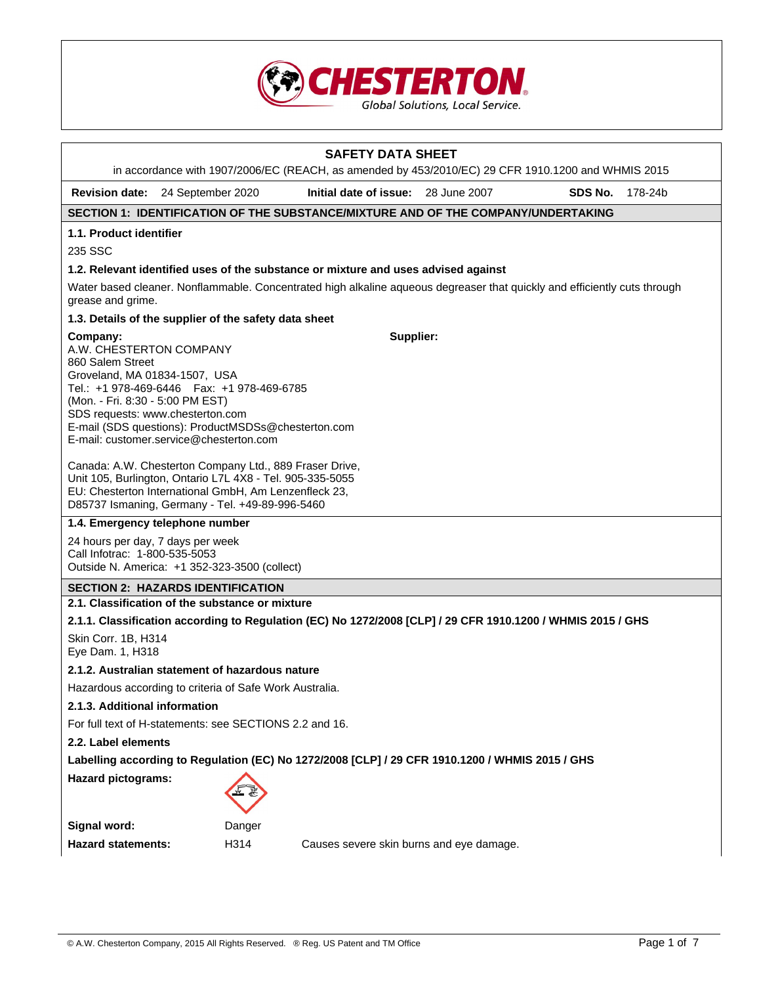

# **SAFETY DATA SHEET**  in accordance with 1907/2006/EC (REACH, as amended by 453/2010/EC) 29 CFR 1910.1200 and WHMIS 2015 **Revision date:** 24 September 2020 **Initial date of issue:** 28 June 2007 **SDS No.** 178-24b **SECTION 1: IDENTIFICATION OF THE SUBSTANCE/MIXTURE AND OF THE COMPANY/UNDERTAKING 1.1. Product identifier**  235 SSC **1.2. Relevant identified uses of the substance or mixture and uses advised against**  Water based cleaner. Nonflammable. Concentrated high alkaline aqueous degreaser that quickly and efficiently cuts through grease and grime. **1.3. Details of the supplier of the safety data sheet Company:** A.W. CHESTERTON COMPANY 860 Salem Street Groveland, MA 01834-1507, USA Tel.: +1 978-469-6446 Fax: +1 978-469-6785 (Mon. - Fri. 8:30 - 5:00 PM EST) SDS requests: www.chesterton.com E-mail (SDS questions): ProductMSDSs@chesterton.com E-mail: customer.service@chesterton.com Canada: A.W. Chesterton Company Ltd., 889 Fraser Drive, Unit 105, Burlington, Ontario L7L 4X8 - Tel. 905-335-5055 EU: Chesterton International GmbH, Am Lenzenfleck 23, D85737 Ismaning, Germany - Tel. +49-89-996-5460 **Supplier: 1.4. Emergency telephone number**  24 hours per day, 7 days per week Call Infotrac: 1-800-535-5053 Outside N. America: +1 352-323-3500 (collect) **SECTION 2: HAZARDS IDENTIFICATION 2.1. Classification of the substance or mixture 2.1.1. Classification according to Regulation (EC) No 1272/2008 [CLP] / 29 CFR 1910.1200 / WHMIS 2015 / GHS**  Skin Corr. 1B, H314 Eye Dam. 1, H318 **2.1.2. Australian statement of hazardous nature**  Hazardous according to criteria of Safe Work Australia. **2.1.3. Additional information**  For full text of H-statements: see SECTIONS 2.2 and 16. **2.2. Label elements Labelling according to Regulation (EC) No 1272/2008 [CLP] / 29 CFR 1910.1200 / WHMIS 2015 / GHS Hazard pictograms: Signal word:** Danger **Hazard statements:** H314 Causes severe skin burns and eye damage.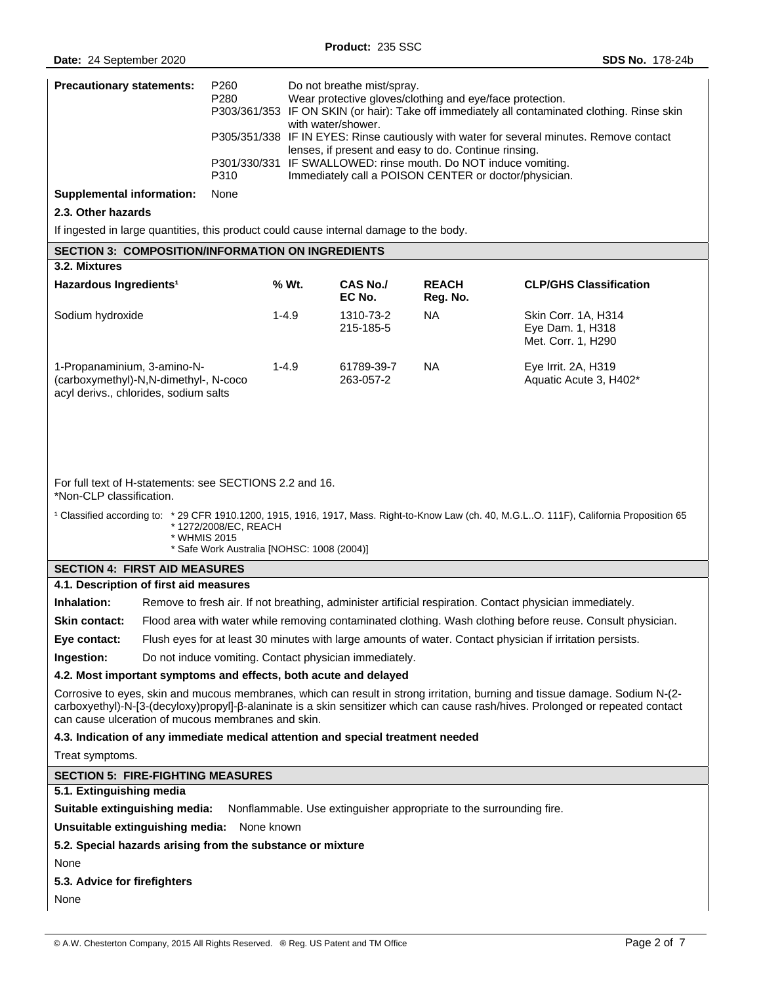| <b>Precautionary statements:</b>                                                                                                                                                                                                                                                                                                    | P260<br>P280                                                                                                                                                                                                            | Do not breathe mist/spray.<br>Wear protective gloves/clothing and eye/face protection.<br>P303/361/353 IF ON SKIN (or hair): Take off immediately all contaminated clothing. Rinse skin<br>with water/shower.<br>P305/351/338 IF IN EYES: Rinse cautiously with water for several minutes. Remove contact<br>lenses, if present and easy to do. Continue rinsing.<br>P301/330/331 IF SWALLOWED: rinse mouth. Do NOT induce vomiting.<br>Immediately call a POISON CENTER or doctor/physician. |                           |                          |                                                                                                          |
|-------------------------------------------------------------------------------------------------------------------------------------------------------------------------------------------------------------------------------------------------------------------------------------------------------------------------------------|-------------------------------------------------------------------------------------------------------------------------------------------------------------------------------------------------------------------------|-----------------------------------------------------------------------------------------------------------------------------------------------------------------------------------------------------------------------------------------------------------------------------------------------------------------------------------------------------------------------------------------------------------------------------------------------------------------------------------------------|---------------------------|--------------------------|----------------------------------------------------------------------------------------------------------|
|                                                                                                                                                                                                                                                                                                                                     |                                                                                                                                                                                                                         |                                                                                                                                                                                                                                                                                                                                                                                                                                                                                               |                           |                          |                                                                                                          |
|                                                                                                                                                                                                                                                                                                                                     | P310                                                                                                                                                                                                                    |                                                                                                                                                                                                                                                                                                                                                                                                                                                                                               |                           |                          |                                                                                                          |
| <b>Supplemental information:</b>                                                                                                                                                                                                                                                                                                    | None                                                                                                                                                                                                                    |                                                                                                                                                                                                                                                                                                                                                                                                                                                                                               |                           |                          |                                                                                                          |
| 2.3. Other hazards                                                                                                                                                                                                                                                                                                                  |                                                                                                                                                                                                                         |                                                                                                                                                                                                                                                                                                                                                                                                                                                                                               |                           |                          |                                                                                                          |
| If ingested in large quantities, this product could cause internal damage to the body.                                                                                                                                                                                                                                              |                                                                                                                                                                                                                         |                                                                                                                                                                                                                                                                                                                                                                                                                                                                                               |                           |                          |                                                                                                          |
| <b>SECTION 3: COMPOSITION/INFORMATION ON INGREDIENTS</b><br>3.2. Mixtures                                                                                                                                                                                                                                                           |                                                                                                                                                                                                                         |                                                                                                                                                                                                                                                                                                                                                                                                                                                                                               |                           |                          |                                                                                                          |
| Hazardous Ingredients <sup>1</sup>                                                                                                                                                                                                                                                                                                  |                                                                                                                                                                                                                         | % Wt.                                                                                                                                                                                                                                                                                                                                                                                                                                                                                         | <b>CAS No./</b><br>EC No. | <b>REACH</b><br>Reg. No. | <b>CLP/GHS Classification</b>                                                                            |
| Sodium hydroxide                                                                                                                                                                                                                                                                                                                    |                                                                                                                                                                                                                         | $1 - 4.9$                                                                                                                                                                                                                                                                                                                                                                                                                                                                                     | 1310-73-2<br>215-185-5    | <b>NA</b>                | Skin Corr. 1A, H314<br>Eye Dam. 1, H318<br>Met. Corr. 1, H290                                            |
| 1-Propanaminium, 3-amino-N-<br>(carboxymethyl)-N,N-dimethyl-, N-coco<br>acyl derivs., chlorides, sodium salts                                                                                                                                                                                                                       |                                                                                                                                                                                                                         | $1 - 4.9$                                                                                                                                                                                                                                                                                                                                                                                                                                                                                     | 61789-39-7<br>263-057-2   | NA.                      | Eye Irrit. 2A, H319<br>Aquatic Acute 3, H402*                                                            |
| For full text of H-statements: see SECTIONS 2.2 and 16.<br>*Non-CLP classification.<br><sup>1</sup> Classified according to: * 29 CFR 1910.1200, 1915, 1916, 1917, Mass. Right-to-Know Law (ch. 40, M.G.LO. 111F), California Proposition 65<br>* 1272/2008/EC, REACH<br>* WHMIS 2015<br>* Safe Work Australia [NOHSC: 1008 (2004)] |                                                                                                                                                                                                                         |                                                                                                                                                                                                                                                                                                                                                                                                                                                                                               |                           |                          |                                                                                                          |
| <b>SECTION 4: FIRST AID MEASURES</b><br>4.1. Description of first aid measures                                                                                                                                                                                                                                                      |                                                                                                                                                                                                                         |                                                                                                                                                                                                                                                                                                                                                                                                                                                                                               |                           |                          |                                                                                                          |
| Inhalation:                                                                                                                                                                                                                                                                                                                         |                                                                                                                                                                                                                         |                                                                                                                                                                                                                                                                                                                                                                                                                                                                                               |                           |                          | Remove to fresh air. If not breathing, administer artificial respiration. Contact physician immediately. |
| <b>Skin contact:</b>                                                                                                                                                                                                                                                                                                                |                                                                                                                                                                                                                         |                                                                                                                                                                                                                                                                                                                                                                                                                                                                                               |                           |                          |                                                                                                          |
| Eye contact:                                                                                                                                                                                                                                                                                                                        | Flood area with water while removing contaminated clothing. Wash clothing before reuse. Consult physician.<br>Flush eyes for at least 30 minutes with large amounts of water. Contact physician if irritation persists. |                                                                                                                                                                                                                                                                                                                                                                                                                                                                                               |                           |                          |                                                                                                          |
| Ingestion:                                                                                                                                                                                                                                                                                                                          | Do not induce vomiting. Contact physician immediately.                                                                                                                                                                  |                                                                                                                                                                                                                                                                                                                                                                                                                                                                                               |                           |                          |                                                                                                          |
| 4.2. Most important symptoms and effects, both acute and delayed                                                                                                                                                                                                                                                                    |                                                                                                                                                                                                                         |                                                                                                                                                                                                                                                                                                                                                                                                                                                                                               |                           |                          |                                                                                                          |
| Corrosive to eyes, skin and mucous membranes, which can result in strong irritation, burning and tissue damage. Sodium N-(2-<br>carboxyethyl)-N-[3-(decyloxy)propyl]-ß-alaninate is a skin sensitizer which can cause rash/hives. Prolonged or repeated contact<br>can cause ulceration of mucous membranes and skin.               |                                                                                                                                                                                                                         |                                                                                                                                                                                                                                                                                                                                                                                                                                                                                               |                           |                          |                                                                                                          |
| 4.3. Indication of any immediate medical attention and special treatment needed                                                                                                                                                                                                                                                     |                                                                                                                                                                                                                         |                                                                                                                                                                                                                                                                                                                                                                                                                                                                                               |                           |                          |                                                                                                          |
| Treat symptoms.                                                                                                                                                                                                                                                                                                                     |                                                                                                                                                                                                                         |                                                                                                                                                                                                                                                                                                                                                                                                                                                                                               |                           |                          |                                                                                                          |
| <b>SECTION 5: FIRE-FIGHTING MEASURES</b>                                                                                                                                                                                                                                                                                            |                                                                                                                                                                                                                         |                                                                                                                                                                                                                                                                                                                                                                                                                                                                                               |                           |                          |                                                                                                          |
| 5.1. Extinguishing media                                                                                                                                                                                                                                                                                                            |                                                                                                                                                                                                                         |                                                                                                                                                                                                                                                                                                                                                                                                                                                                                               |                           |                          |                                                                                                          |
| Suitable extinguishing media:<br>Nonflammable. Use extinguisher appropriate to the surrounding fire.                                                                                                                                                                                                                                |                                                                                                                                                                                                                         |                                                                                                                                                                                                                                                                                                                                                                                                                                                                                               |                           |                          |                                                                                                          |
| Unsuitable extinguishing media: None known<br>5.2. Special hazards arising from the substance or mixture                                                                                                                                                                                                                            |                                                                                                                                                                                                                         |                                                                                                                                                                                                                                                                                                                                                                                                                                                                                               |                           |                          |                                                                                                          |
| None                                                                                                                                                                                                                                                                                                                                |                                                                                                                                                                                                                         |                                                                                                                                                                                                                                                                                                                                                                                                                                                                                               |                           |                          |                                                                                                          |
| 5.3. Advice for firefighters                                                                                                                                                                                                                                                                                                        |                                                                                                                                                                                                                         |                                                                                                                                                                                                                                                                                                                                                                                                                                                                                               |                           |                          |                                                                                                          |
| None                                                                                                                                                                                                                                                                                                                                |                                                                                                                                                                                                                         |                                                                                                                                                                                                                                                                                                                                                                                                                                                                                               |                           |                          |                                                                                                          |
|                                                                                                                                                                                                                                                                                                                                     |                                                                                                                                                                                                                         |                                                                                                                                                                                                                                                                                                                                                                                                                                                                                               |                           |                          |                                                                                                          |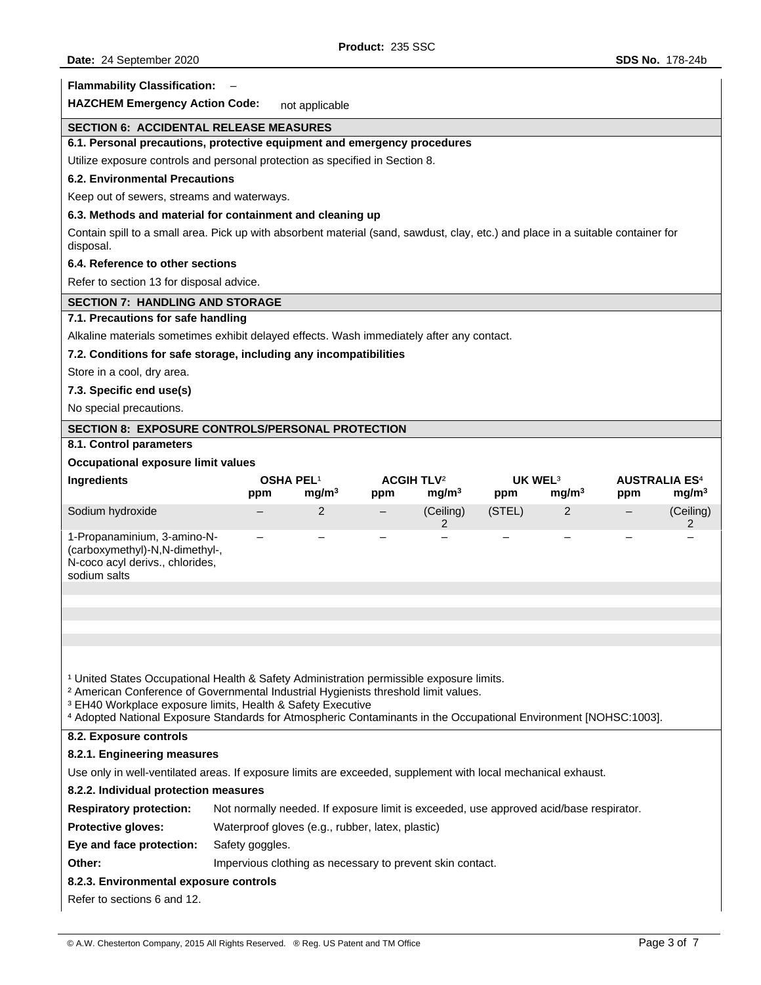| <b>Flammability Classification:</b>                                                                                                                                                                                                                                                          |                                                                                        |                   |     |                                                   |                            |                   |     |                                                      |
|----------------------------------------------------------------------------------------------------------------------------------------------------------------------------------------------------------------------------------------------------------------------------------------------|----------------------------------------------------------------------------------------|-------------------|-----|---------------------------------------------------|----------------------------|-------------------|-----|------------------------------------------------------|
| <b>HAZCHEM Emergency Action Code:</b>                                                                                                                                                                                                                                                        |                                                                                        | not applicable    |     |                                                   |                            |                   |     |                                                      |
| <b>SECTION 6: ACCIDENTAL RELEASE MEASURES</b>                                                                                                                                                                                                                                                |                                                                                        |                   |     |                                                   |                            |                   |     |                                                      |
| 6.1. Personal precautions, protective equipment and emergency procedures                                                                                                                                                                                                                     |                                                                                        |                   |     |                                                   |                            |                   |     |                                                      |
| Utilize exposure controls and personal protection as specified in Section 8.                                                                                                                                                                                                                 |                                                                                        |                   |     |                                                   |                            |                   |     |                                                      |
| <b>6.2. Environmental Precautions</b>                                                                                                                                                                                                                                                        |                                                                                        |                   |     |                                                   |                            |                   |     |                                                      |
| Keep out of sewers, streams and waterways.                                                                                                                                                                                                                                                   |                                                                                        |                   |     |                                                   |                            |                   |     |                                                      |
| 6.3. Methods and material for containment and cleaning up                                                                                                                                                                                                                                    |                                                                                        |                   |     |                                                   |                            |                   |     |                                                      |
| Contain spill to a small area. Pick up with absorbent material (sand, sawdust, clay, etc.) and place in a suitable container for<br>disposal.                                                                                                                                                |                                                                                        |                   |     |                                                   |                            |                   |     |                                                      |
| 6.4. Reference to other sections                                                                                                                                                                                                                                                             |                                                                                        |                   |     |                                                   |                            |                   |     |                                                      |
| Refer to section 13 for disposal advice.                                                                                                                                                                                                                                                     |                                                                                        |                   |     |                                                   |                            |                   |     |                                                      |
| <b>SECTION 7: HANDLING AND STORAGE</b>                                                                                                                                                                                                                                                       |                                                                                        |                   |     |                                                   |                            |                   |     |                                                      |
| 7.1. Precautions for safe handling                                                                                                                                                                                                                                                           |                                                                                        |                   |     |                                                   |                            |                   |     |                                                      |
| Alkaline materials sometimes exhibit delayed effects. Wash immediately after any contact.                                                                                                                                                                                                    |                                                                                        |                   |     |                                                   |                            |                   |     |                                                      |
| 7.2. Conditions for safe storage, including any incompatibilities                                                                                                                                                                                                                            |                                                                                        |                   |     |                                                   |                            |                   |     |                                                      |
| Store in a cool, dry area.                                                                                                                                                                                                                                                                   |                                                                                        |                   |     |                                                   |                            |                   |     |                                                      |
| 7.3. Specific end use(s)                                                                                                                                                                                                                                                                     |                                                                                        |                   |     |                                                   |                            |                   |     |                                                      |
| No special precautions.                                                                                                                                                                                                                                                                      |                                                                                        |                   |     |                                                   |                            |                   |     |                                                      |
| <b>SECTION 8: EXPOSURE CONTROLS/PERSONAL PROTECTION</b>                                                                                                                                                                                                                                      |                                                                                        |                   |     |                                                   |                            |                   |     |                                                      |
| 8.1. Control parameters                                                                                                                                                                                                                                                                      |                                                                                        |                   |     |                                                   |                            |                   |     |                                                      |
| Occupational exposure limit values                                                                                                                                                                                                                                                           |                                                                                        |                   |     |                                                   |                            |                   |     |                                                      |
| Ingredients                                                                                                                                                                                                                                                                                  | <b>OSHA PEL1</b><br>ppm                                                                | mg/m <sup>3</sup> | ppm | <b>ACGIH TLV<sup>2</sup></b><br>mg/m <sup>3</sup> | UK WEL <sup>3</sup><br>ppm | mg/m <sup>3</sup> | ppm | <b>AUSTRALIA ES<sup>4</sup></b><br>mg/m <sup>3</sup> |
| Sodium hydroxide                                                                                                                                                                                                                                                                             | —                                                                                      | 2                 | -   | (Ceiling)<br>2                                    | (STEL)                     | 2                 |     | (Ceiling)<br>2                                       |
| 1-Propanaminium, 3-amino-N-<br>(carboxymethyl)-N,N-dimethyl-,<br>N-coco acyl derivs., chlorides,<br>sodium salts                                                                                                                                                                             |                                                                                        |                   |     |                                                   |                            |                   |     |                                                      |
|                                                                                                                                                                                                                                                                                              |                                                                                        |                   |     |                                                   |                            |                   |     |                                                      |
|                                                                                                                                                                                                                                                                                              |                                                                                        |                   |     |                                                   |                            |                   |     |                                                      |
|                                                                                                                                                                                                                                                                                              |                                                                                        |                   |     |                                                   |                            |                   |     |                                                      |
| <sup>1</sup> United States Occupational Health & Safety Administration permissible exposure limits.                                                                                                                                                                                          |                                                                                        |                   |     |                                                   |                            |                   |     |                                                      |
| <sup>2</sup> American Conference of Governmental Industrial Hygienists threshold limit values.<br><sup>3</sup> EH40 Workplace exposure limits, Health & Safety Executive<br>4 Adopted National Exposure Standards for Atmospheric Contaminants in the Occupational Environment [NOHSC:1003]. |                                                                                        |                   |     |                                                   |                            |                   |     |                                                      |
| 8.2. Exposure controls                                                                                                                                                                                                                                                                       |                                                                                        |                   |     |                                                   |                            |                   |     |                                                      |
| 8.2.1. Engineering measures                                                                                                                                                                                                                                                                  |                                                                                        |                   |     |                                                   |                            |                   |     |                                                      |
| Use only in well-ventilated areas. If exposure limits are exceeded, supplement with local mechanical exhaust.                                                                                                                                                                                |                                                                                        |                   |     |                                                   |                            |                   |     |                                                      |
| 8.2.2. Individual protection measures                                                                                                                                                                                                                                                        |                                                                                        |                   |     |                                                   |                            |                   |     |                                                      |
| <b>Respiratory protection:</b>                                                                                                                                                                                                                                                               | Not normally needed. If exposure limit is exceeded, use approved acid/base respirator. |                   |     |                                                   |                            |                   |     |                                                      |
| Protective gloves:                                                                                                                                                                                                                                                                           |                                                                                        |                   |     |                                                   |                            |                   |     |                                                      |
| Eye and face protection:                                                                                                                                                                                                                                                                     | Waterproof gloves (e.g., rubber, latex, plastic)<br>Safety goggles.                    |                   |     |                                                   |                            |                   |     |                                                      |
| Other:                                                                                                                                                                                                                                                                                       | Impervious clothing as necessary to prevent skin contact.                              |                   |     |                                                   |                            |                   |     |                                                      |
| 8.2.3. Environmental exposure controls                                                                                                                                                                                                                                                       |                                                                                        |                   |     |                                                   |                            |                   |     |                                                      |
| Refer to sections 6 and 12.                                                                                                                                                                                                                                                                  |                                                                                        |                   |     |                                                   |                            |                   |     |                                                      |
|                                                                                                                                                                                                                                                                                              |                                                                                        |                   |     |                                                   |                            |                   |     |                                                      |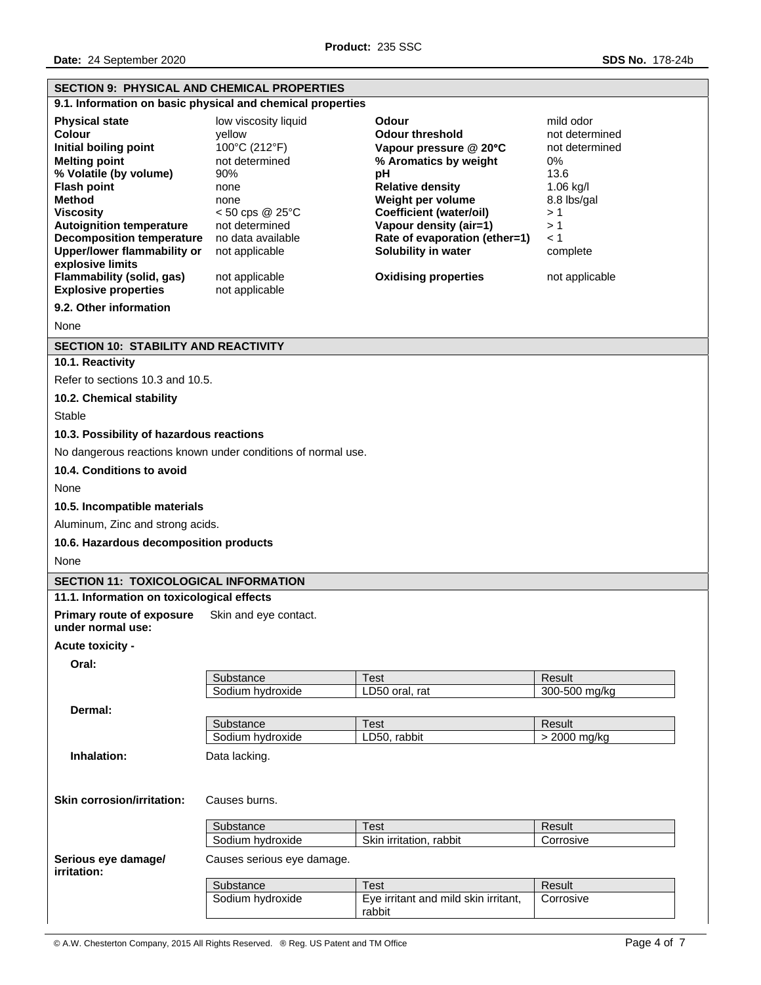| <b>SECTION 9: PHYSICAL AND CHEMICAL PROPERTIES</b>                                                                                                                                                                                                                                                                                                                                                  |                                                                                                                                                                                                                                                                                                                                                                                                                                                                                                               |                                      |                                                                                                                                               |  |  |
|-----------------------------------------------------------------------------------------------------------------------------------------------------------------------------------------------------------------------------------------------------------------------------------------------------------------------------------------------------------------------------------------------------|---------------------------------------------------------------------------------------------------------------------------------------------------------------------------------------------------------------------------------------------------------------------------------------------------------------------------------------------------------------------------------------------------------------------------------------------------------------------------------------------------------------|--------------------------------------|-----------------------------------------------------------------------------------------------------------------------------------------------|--|--|
|                                                                                                                                                                                                                                                                                                                                                                                                     | 9.1. Information on basic physical and chemical properties                                                                                                                                                                                                                                                                                                                                                                                                                                                    |                                      |                                                                                                                                               |  |  |
| <b>Physical state</b><br><b>Colour</b><br>Initial boiling point<br><b>Melting point</b><br>% Volatile (by volume)<br><b>Flash point</b><br><b>Method</b><br><b>Viscosity</b><br><b>Autoignition temperature</b><br><b>Decomposition temperature</b><br><b>Upper/lower flammability or</b><br>explosive limits<br>Flammability (solid, gas)<br><b>Explosive properties</b><br>9.2. Other information | low viscosity liquid<br>Odour<br>yellow<br><b>Odour threshold</b><br>100°C (212°F)<br>Vapour pressure @ 20°C<br>not determined<br>% Aromatics by weight<br>90%<br>рH<br><b>Relative density</b><br>none<br>Weight per volume<br>none<br>Coefficient (water/oil)<br>$<$ 50 cps @ 25 $^{\circ}$ C<br>Vapour density (air=1)<br>not determined<br>Rate of evaporation (ether=1)<br>no data available<br>Solubility in water<br>not applicable<br>not applicable<br><b>Oxidising properties</b><br>not applicable |                                      | mild odor<br>not determined<br>not determined<br>0%<br>13.6<br>1.06 kg/l<br>8.8 lbs/gal<br>>1<br>>1<br>$\leq 1$<br>complete<br>not applicable |  |  |
| None                                                                                                                                                                                                                                                                                                                                                                                                |                                                                                                                                                                                                                                                                                                                                                                                                                                                                                                               |                                      |                                                                                                                                               |  |  |
| <b>SECTION 10: STABILITY AND REACTIVITY</b>                                                                                                                                                                                                                                                                                                                                                         |                                                                                                                                                                                                                                                                                                                                                                                                                                                                                                               |                                      |                                                                                                                                               |  |  |
| 10.1. Reactivity                                                                                                                                                                                                                                                                                                                                                                                    |                                                                                                                                                                                                                                                                                                                                                                                                                                                                                                               |                                      |                                                                                                                                               |  |  |
| Refer to sections 10.3 and 10.5.                                                                                                                                                                                                                                                                                                                                                                    |                                                                                                                                                                                                                                                                                                                                                                                                                                                                                                               |                                      |                                                                                                                                               |  |  |
| 10.2. Chemical stability                                                                                                                                                                                                                                                                                                                                                                            |                                                                                                                                                                                                                                                                                                                                                                                                                                                                                                               |                                      |                                                                                                                                               |  |  |
|                                                                                                                                                                                                                                                                                                                                                                                                     |                                                                                                                                                                                                                                                                                                                                                                                                                                                                                                               |                                      |                                                                                                                                               |  |  |
| Stable                                                                                                                                                                                                                                                                                                                                                                                              |                                                                                                                                                                                                                                                                                                                                                                                                                                                                                                               |                                      |                                                                                                                                               |  |  |
| 10.3. Possibility of hazardous reactions                                                                                                                                                                                                                                                                                                                                                            |                                                                                                                                                                                                                                                                                                                                                                                                                                                                                                               |                                      |                                                                                                                                               |  |  |
|                                                                                                                                                                                                                                                                                                                                                                                                     | No dangerous reactions known under conditions of normal use.                                                                                                                                                                                                                                                                                                                                                                                                                                                  |                                      |                                                                                                                                               |  |  |
| 10.4. Conditions to avoid                                                                                                                                                                                                                                                                                                                                                                           |                                                                                                                                                                                                                                                                                                                                                                                                                                                                                                               |                                      |                                                                                                                                               |  |  |
| None                                                                                                                                                                                                                                                                                                                                                                                                |                                                                                                                                                                                                                                                                                                                                                                                                                                                                                                               |                                      |                                                                                                                                               |  |  |
| 10.5. Incompatible materials                                                                                                                                                                                                                                                                                                                                                                        |                                                                                                                                                                                                                                                                                                                                                                                                                                                                                                               |                                      |                                                                                                                                               |  |  |
|                                                                                                                                                                                                                                                                                                                                                                                                     | Aluminum, Zinc and strong acids.                                                                                                                                                                                                                                                                                                                                                                                                                                                                              |                                      |                                                                                                                                               |  |  |
|                                                                                                                                                                                                                                                                                                                                                                                                     | 10.6. Hazardous decomposition products                                                                                                                                                                                                                                                                                                                                                                                                                                                                        |                                      |                                                                                                                                               |  |  |
| None                                                                                                                                                                                                                                                                                                                                                                                                |                                                                                                                                                                                                                                                                                                                                                                                                                                                                                                               |                                      |                                                                                                                                               |  |  |
| <b>SECTION 11: TOXICOLOGICAL INFORMATION</b>                                                                                                                                                                                                                                                                                                                                                        |                                                                                                                                                                                                                                                                                                                                                                                                                                                                                                               |                                      |                                                                                                                                               |  |  |
| 11.1. Information on toxicological effects                                                                                                                                                                                                                                                                                                                                                          |                                                                                                                                                                                                                                                                                                                                                                                                                                                                                                               |                                      |                                                                                                                                               |  |  |
| <b>Primary route of exposure</b><br>under normal use:                                                                                                                                                                                                                                                                                                                                               | Skin and eye contact.                                                                                                                                                                                                                                                                                                                                                                                                                                                                                         |                                      |                                                                                                                                               |  |  |
| Acute toxicity -                                                                                                                                                                                                                                                                                                                                                                                    |                                                                                                                                                                                                                                                                                                                                                                                                                                                                                                               |                                      |                                                                                                                                               |  |  |
| Oral:                                                                                                                                                                                                                                                                                                                                                                                               |                                                                                                                                                                                                                                                                                                                                                                                                                                                                                                               |                                      |                                                                                                                                               |  |  |
|                                                                                                                                                                                                                                                                                                                                                                                                     | Substance                                                                                                                                                                                                                                                                                                                                                                                                                                                                                                     | <b>Test</b>                          | Result                                                                                                                                        |  |  |
|                                                                                                                                                                                                                                                                                                                                                                                                     | Sodium hydroxide                                                                                                                                                                                                                                                                                                                                                                                                                                                                                              | LD50 oral, rat                       | 300-500 mg/kg                                                                                                                                 |  |  |
| Dermal:                                                                                                                                                                                                                                                                                                                                                                                             |                                                                                                                                                                                                                                                                                                                                                                                                                                                                                                               |                                      |                                                                                                                                               |  |  |
|                                                                                                                                                                                                                                                                                                                                                                                                     | Substance<br>Sodium hydroxide                                                                                                                                                                                                                                                                                                                                                                                                                                                                                 | <b>Test</b><br>LD50, rabbit          | Result                                                                                                                                        |  |  |
|                                                                                                                                                                                                                                                                                                                                                                                                     |                                                                                                                                                                                                                                                                                                                                                                                                                                                                                                               |                                      | $> 2000$ mg/kg                                                                                                                                |  |  |
| Inhalation:                                                                                                                                                                                                                                                                                                                                                                                         | Data lacking.                                                                                                                                                                                                                                                                                                                                                                                                                                                                                                 |                                      |                                                                                                                                               |  |  |
| <b>Skin corrosion/irritation:</b>                                                                                                                                                                                                                                                                                                                                                                   | Causes burns.                                                                                                                                                                                                                                                                                                                                                                                                                                                                                                 |                                      |                                                                                                                                               |  |  |
|                                                                                                                                                                                                                                                                                                                                                                                                     | Substance                                                                                                                                                                                                                                                                                                                                                                                                                                                                                                     | <b>Test</b>                          | Result                                                                                                                                        |  |  |
|                                                                                                                                                                                                                                                                                                                                                                                                     | Sodium hydroxide                                                                                                                                                                                                                                                                                                                                                                                                                                                                                              | Skin irritation, rabbit              | Corrosive                                                                                                                                     |  |  |
| Serious eye damage/                                                                                                                                                                                                                                                                                                                                                                                 | Causes serious eye damage.                                                                                                                                                                                                                                                                                                                                                                                                                                                                                    |                                      |                                                                                                                                               |  |  |
| <i>irritation:</i>                                                                                                                                                                                                                                                                                                                                                                                  | Substance                                                                                                                                                                                                                                                                                                                                                                                                                                                                                                     | <b>Test</b>                          | Result                                                                                                                                        |  |  |
|                                                                                                                                                                                                                                                                                                                                                                                                     | Sodium hydroxide                                                                                                                                                                                                                                                                                                                                                                                                                                                                                              | Eye irritant and mild skin irritant, | Corrosive                                                                                                                                     |  |  |
|                                                                                                                                                                                                                                                                                                                                                                                                     |                                                                                                                                                                                                                                                                                                                                                                                                                                                                                                               | rabbit                               |                                                                                                                                               |  |  |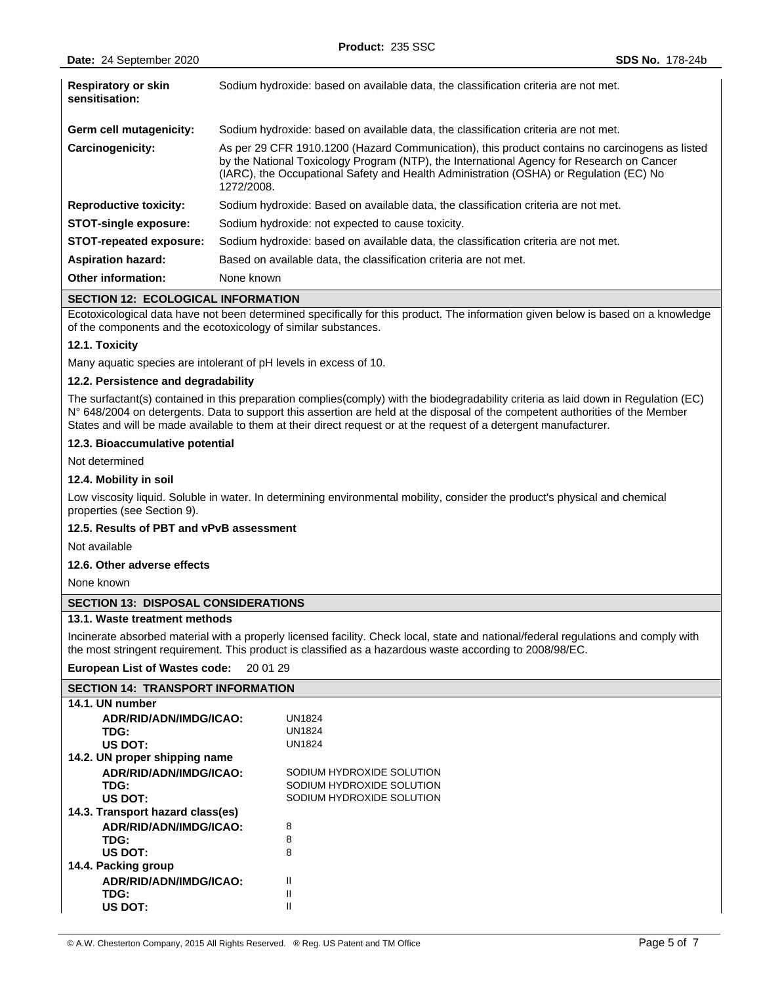| <b>Respiratory or skin</b><br>sensitisation: | Sodium hydroxide: based on available data, the classification criteria are not met.                                                                                                                                                                                                                 |
|----------------------------------------------|-----------------------------------------------------------------------------------------------------------------------------------------------------------------------------------------------------------------------------------------------------------------------------------------------------|
| Germ cell mutagenicity:                      | Sodium hydroxide: based on available data, the classification criteria are not met.                                                                                                                                                                                                                 |
| Carcinogenicity:                             | As per 29 CFR 1910.1200 (Hazard Communication), this product contains no carcinogens as listed<br>by the National Toxicology Program (NTP), the International Agency for Research on Cancer<br>(IARC), the Occupational Safety and Health Administration (OSHA) or Regulation (EC) No<br>1272/2008. |
| <b>Reproductive toxicity:</b>                | Sodium hydroxide: Based on available data, the classification criteria are not met.                                                                                                                                                                                                                 |
| <b>STOT-single exposure:</b>                 | Sodium hydroxide: not expected to cause toxicity.                                                                                                                                                                                                                                                   |
| STOT-repeated exposure:                      | Sodium hydroxide: based on available data, the classification criteria are not met.                                                                                                                                                                                                                 |
| <b>Aspiration hazard:</b>                    | Based on available data, the classification criteria are not met.                                                                                                                                                                                                                                   |
| <b>Other information:</b>                    | None known                                                                                                                                                                                                                                                                                          |

## **SECTION 12: ECOLOGICAL INFORMATION**

Ecotoxicological data have not been determined specifically for this product. The information given below is based on a knowledge of the components and the ecotoxicology of similar substances.

## **12.1. Toxicity**

Many aquatic species are intolerant of pH levels in excess of 10.

## **12.2. Persistence and degradability**

The surfactant(s) contained in this preparation complies(comply) with the biodegradability criteria as laid down in Regulation (EC) N° 648/2004 on detergents. Data to support this assertion are held at the disposal of the competent authorities of the Member States and will be made available to them at their direct request or at the request of a detergent manufacturer.

### **12.3. Bioaccumulative potential**

Not determined

## **12.4. Mobility in soil**

Low viscosity liquid. Soluble in water. In determining environmental mobility, consider the product's physical and chemical properties (see Section 9).

#### **12.5. Results of PBT and vPvB assessment**

Not available

## **12.6. Other adverse effects**

None known

## **SECTION 13: DISPOSAL CONSIDERATIONS**

#### **13.1. Waste treatment methods**

Incinerate absorbed material with a properly licensed facility. Check local, state and national/federal regulations and comply with the most stringent requirement. This product is classified as a hazardous waste according to 2008/98/EC.

#### **European List of Wastes code:** 20 01 29

| <b>SECTION 14: TRANSPORT INFORMATION</b> |                           |  |  |
|------------------------------------------|---------------------------|--|--|
| 14.1. UN number                          |                           |  |  |
| ADR/RID/ADN/IMDG/ICAO:                   | <b>UN1824</b>             |  |  |
| TDG:                                     | <b>UN1824</b>             |  |  |
| US DOT:                                  | <b>UN1824</b>             |  |  |
| 14.2. UN proper shipping name            |                           |  |  |
| ADR/RID/ADN/IMDG/ICAO:                   | SODIUM HYDROXIDE SOLUTION |  |  |
| TDG:                                     | SODIUM HYDROXIDE SOLUTION |  |  |
| US DOT:                                  | SODIUM HYDROXIDE SOLUTION |  |  |
| 14.3. Transport hazard class(es)         |                           |  |  |
| ADR/RID/ADN/IMDG/ICAO:                   | 8                         |  |  |
| TDG:                                     | 8                         |  |  |
| US DOT:                                  | 8                         |  |  |
| 14.4. Packing group                      |                           |  |  |
| ADR/RID/ADN/IMDG/ICAO:                   | Ш                         |  |  |
| TDG:                                     | Ш                         |  |  |
| US DOT:                                  | Ш                         |  |  |
|                                          |                           |  |  |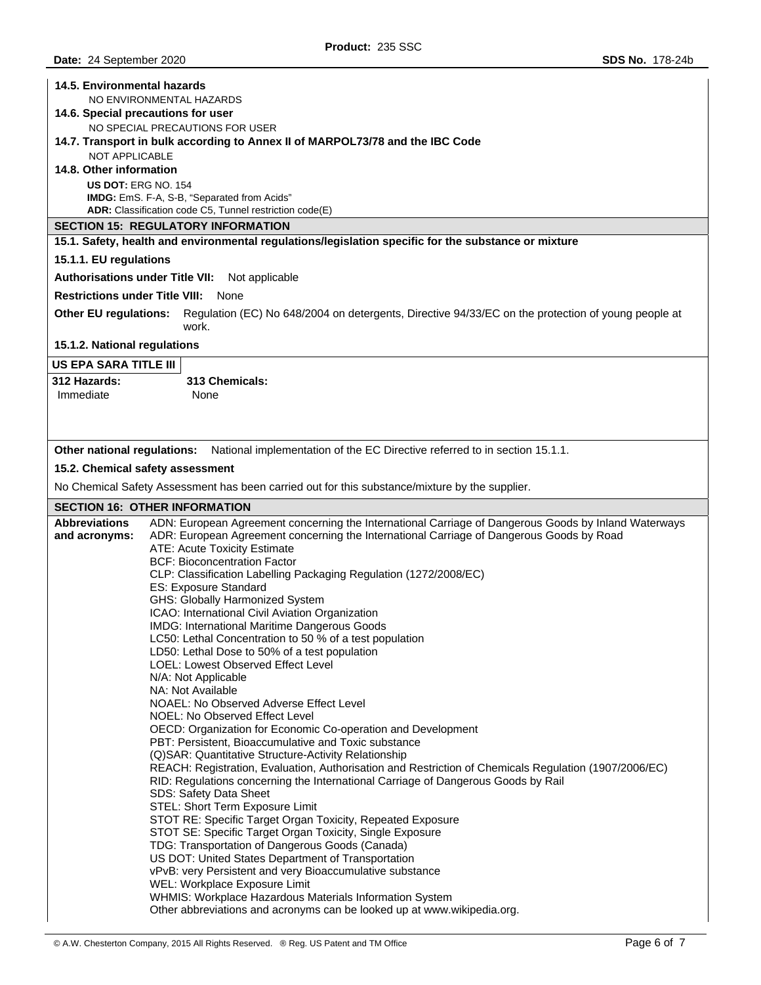| 14.5. Environmental hazards<br>NO ENVIRONMENTAL HAZARDS<br>14.6. Special precautions for user<br>NO SPECIAL PRECAUTIONS FOR USER<br>14.7. Transport in bulk according to Annex II of MARPOL73/78 and the IBC Code<br><b>NOT APPLICABLE</b><br>14.8. Other information |                                                                                                                                                                                            |  |  |  |
|-----------------------------------------------------------------------------------------------------------------------------------------------------------------------------------------------------------------------------------------------------------------------|--------------------------------------------------------------------------------------------------------------------------------------------------------------------------------------------|--|--|--|
| <b>US DOT: ERG NO. 154</b>                                                                                                                                                                                                                                            | IMDG: EmS. F-A, S-B, "Separated from Acids"                                                                                                                                                |  |  |  |
|                                                                                                                                                                                                                                                                       | ADR: Classification code C5, Tunnel restriction code(E)                                                                                                                                    |  |  |  |
|                                                                                                                                                                                                                                                                       | <b>SECTION 15: REGULATORY INFORMATION</b>                                                                                                                                                  |  |  |  |
|                                                                                                                                                                                                                                                                       | 15.1. Safety, health and environmental regulations/legislation specific for the substance or mixture                                                                                       |  |  |  |
| 15.1.1. EU regulations                                                                                                                                                                                                                                                |                                                                                                                                                                                            |  |  |  |
| <b>Authorisations under Title VII:</b>                                                                                                                                                                                                                                | Not applicable                                                                                                                                                                             |  |  |  |
| <b>Restrictions under Title VIII:</b>                                                                                                                                                                                                                                 | None                                                                                                                                                                                       |  |  |  |
| Other EU regulations:                                                                                                                                                                                                                                                 | Regulation (EC) No 648/2004 on detergents, Directive 94/33/EC on the protection of young people at<br>work.                                                                                |  |  |  |
| 15.1.2. National regulations                                                                                                                                                                                                                                          |                                                                                                                                                                                            |  |  |  |
| <b>US EPA SARA TITLE III</b>                                                                                                                                                                                                                                          |                                                                                                                                                                                            |  |  |  |
| <b>312 Hazards:</b>                                                                                                                                                                                                                                                   | 313 Chemicals:                                                                                                                                                                             |  |  |  |
| Immediate                                                                                                                                                                                                                                                             | None                                                                                                                                                                                       |  |  |  |
|                                                                                                                                                                                                                                                                       |                                                                                                                                                                                            |  |  |  |
| Other national regulations:                                                                                                                                                                                                                                           | National implementation of the EC Directive referred to in section 15.1.1.                                                                                                                 |  |  |  |
|                                                                                                                                                                                                                                                                       | 15.2. Chemical safety assessment                                                                                                                                                           |  |  |  |
|                                                                                                                                                                                                                                                                       | No Chemical Safety Assessment has been carried out for this substance/mixture by the supplier.                                                                                             |  |  |  |
|                                                                                                                                                                                                                                                                       | <b>SECTION 16: OTHER INFORMATION</b>                                                                                                                                                       |  |  |  |
| <b>Abbreviations</b>                                                                                                                                                                                                                                                  |                                                                                                                                                                                            |  |  |  |
|                                                                                                                                                                                                                                                                       | ADN: European Agreement concerning the International Carriage of Dangerous Goods by Inland Waterways                                                                                       |  |  |  |
| and acronyms:                                                                                                                                                                                                                                                         | ADR: European Agreement concerning the International Carriage of Dangerous Goods by Road                                                                                                   |  |  |  |
|                                                                                                                                                                                                                                                                       | ATE: Acute Toxicity Estimate                                                                                                                                                               |  |  |  |
|                                                                                                                                                                                                                                                                       | <b>BCF: Bioconcentration Factor</b><br>CLP: Classification Labelling Packaging Regulation (1272/2008/EC)                                                                                   |  |  |  |
|                                                                                                                                                                                                                                                                       | ES: Exposure Standard                                                                                                                                                                      |  |  |  |
|                                                                                                                                                                                                                                                                       | GHS: Globally Harmonized System                                                                                                                                                            |  |  |  |
|                                                                                                                                                                                                                                                                       | ICAO: International Civil Aviation Organization<br>IMDG: International Maritime Dangerous Goods                                                                                            |  |  |  |
|                                                                                                                                                                                                                                                                       | LC50: Lethal Concentration to 50 % of a test population                                                                                                                                    |  |  |  |
|                                                                                                                                                                                                                                                                       | LD50: Lethal Dose to 50% of a test population                                                                                                                                              |  |  |  |
|                                                                                                                                                                                                                                                                       | LOEL: Lowest Observed Effect Level                                                                                                                                                         |  |  |  |
|                                                                                                                                                                                                                                                                       | N/A: Not Applicable<br>NA: Not Available                                                                                                                                                   |  |  |  |
|                                                                                                                                                                                                                                                                       | NOAEL: No Observed Adverse Effect Level                                                                                                                                                    |  |  |  |
|                                                                                                                                                                                                                                                                       | NOEL: No Observed Effect Level                                                                                                                                                             |  |  |  |
|                                                                                                                                                                                                                                                                       | OECD: Organization for Economic Co-operation and Development<br>PBT: Persistent, Bioaccumulative and Toxic substance                                                                       |  |  |  |
|                                                                                                                                                                                                                                                                       | (Q) SAR: Quantitative Structure-Activity Relationship                                                                                                                                      |  |  |  |
|                                                                                                                                                                                                                                                                       | REACH: Registration, Evaluation, Authorisation and Restriction of Chemicals Regulation (1907/2006/EC)<br>RID: Regulations concerning the International Carriage of Dangerous Goods by Rail |  |  |  |
|                                                                                                                                                                                                                                                                       | SDS: Safety Data Sheet                                                                                                                                                                     |  |  |  |
|                                                                                                                                                                                                                                                                       | STEL: Short Term Exposure Limit                                                                                                                                                            |  |  |  |
|                                                                                                                                                                                                                                                                       | STOT RE: Specific Target Organ Toxicity, Repeated Exposure                                                                                                                                 |  |  |  |
|                                                                                                                                                                                                                                                                       | STOT SE: Specific Target Organ Toxicity, Single Exposure<br>TDG: Transportation of Dangerous Goods (Canada)                                                                                |  |  |  |
|                                                                                                                                                                                                                                                                       | US DOT: United States Department of Transportation                                                                                                                                         |  |  |  |
|                                                                                                                                                                                                                                                                       | vPvB: very Persistent and very Bioaccumulative substance<br>WEL: Workplace Exposure Limit                                                                                                  |  |  |  |
|                                                                                                                                                                                                                                                                       | WHMIS: Workplace Hazardous Materials Information System<br>Other abbreviations and acronyms can be looked up at www.wikipedia.org.                                                         |  |  |  |